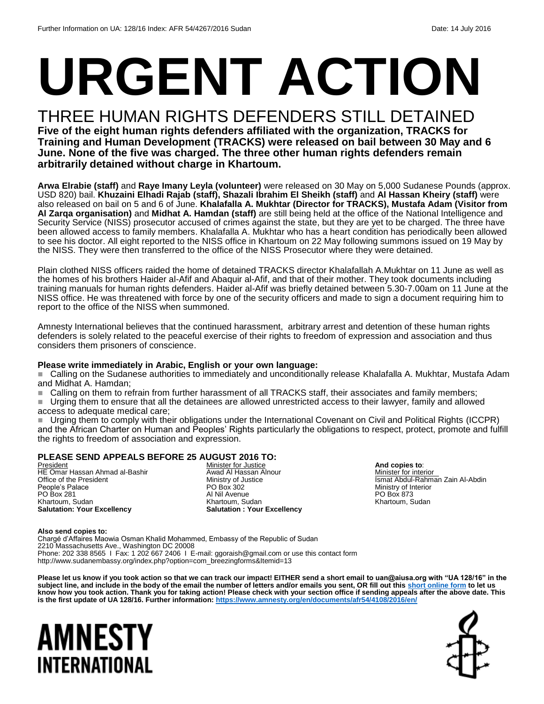# **URGENT ACTION**

## THREE HUMAN RIGHTS DEFENDERS STILL DETAINED

**Five of the eight human rights defenders affiliated with the organization, TRACKS for Training and Human Development (TRACKS) were released on bail between 30 May and 6 June. None of the five was charged. The three other human rights defenders remain arbitrarily detained without charge in Khartoum.**

**Arwa Elrabie (staff)** and **Raye Imany Leyla (volunteer)** were released on 30 May on 5,000 Sudanese Pounds (approx. USD 820) bail. **Khuzaini Elhadi Rajab (staff), Shazali Ibrahim El Sheikh (staff)** and **Al Hassan Kheiry (staff)** were also released on bail on 5 and 6 of June. **Khalafalla A. Mukhtar (Director for TRACKS), Mustafa Adam (Visitor from Al Zarqa organisation)** and **Midhat A. Hamdan (staff)** are still being held at the office of the National Intelligence and Security Service (NISS) prosecutor accused of crimes against the state, but they are yet to be charged. The three have been allowed access to family members. Khalafalla A. Mukhtar who has a heart condition has periodically been allowed to see his doctor. All eight reported to the NISS office in Khartoum on 22 May following summons issued on 19 May by the NISS. They were then transferred to the office of the NISS Prosecutor where they were detained.

Plain clothed NISS officers raided the home of detained TRACKS director Khalafallah A.Mukhtar on 11 June as well as the homes of his brothers Haider al-Afif and Abaquir al-Afif, and that of their mother. They took documents including training manuals for human rights defenders. Haider al-Afif was briefly detained between 5.30-7.00am on 11 June at the NISS office. He was threatened with force by one of the security officers and made to sign a document requiring him to report to the office of the NISS when summoned.

Amnesty International believes that the continued harassment, arbitrary arrest and detention of these human rights defenders is solely related to the peaceful exercise of their rights to freedom of expression and association and thus considers them prisoners of conscience.

#### **Please write immediately in Arabic, English or your own language:**

■ Calling on the Sudanese authorities to immediately and unconditionally release Khalafalla A. Mukhtar, Mustafa Adam and Midhat A. Hamdan;

■ Calling on them to refrain from further harassment of all TRACKS staff, their associates and family members;

 Urging them to ensure that all the detainees are allowed unrestricted access to their lawyer, family and allowed access to adequate medical care;

 Urging them to comply with their obligations under the International Covenant on Civil and Political Rights (ICCPR) and the African Charter on Human and Peoples' Rights particularly the obligations to respect, protect, promote and fulfill the rights to freedom of association and expression.

#### **PLEASE SEND APPEALS BEFORE 25 AUGUST 2016 TO:**

President HE Omar Hassan Ahmad al-Bashir Office of the President People's Palace PO Box 281 Khartoum, Sudan **Salutation: Your Excellency**

**Minister for Justice** Awad Al Hassan Alnour Ministry of Justice PO Box 302 Al Nil Avenue Khartoum, Sudan **Salutation : Your Excellency** **And copies to**: Minister for interior Ismat Abdul-Rahman Zain Al-Abdin Ministry of Interior PO Box 873 Khartoum, Sudan

#### **Also send copies to:**

Chargé d'Affaires Maowia Osman Khalid Mohammed, Embassy of the Republic of Sudan 2210 Massachusetts Ave., Washington DC 20008 Phone: 202 338 8565 I Fax: 1 202 667 2406 I E-mail: ggoraish@gmail.com or use this contact form http://www.sudanembassy.org/index.php?option=com\_breezingforms&Itemid=13

**Please let us know if you took action so that we can track our impact! EITHER send a short email to uan@aiusa.org with "UA 128/16" in the subject line, and include in the body of the email the number of letters and/or emails you sent, OR fill out this [short online form](https://www.surveymonkey.com/r/8TWNM6W) to let us know how you took action. Thank you for taking action! Please check with your section office if sending appeals after the above date. This is the first update of UA 128/16. Further information:<https://www.amnesty.org/en/documents/afr54/4108/2016/en/>**